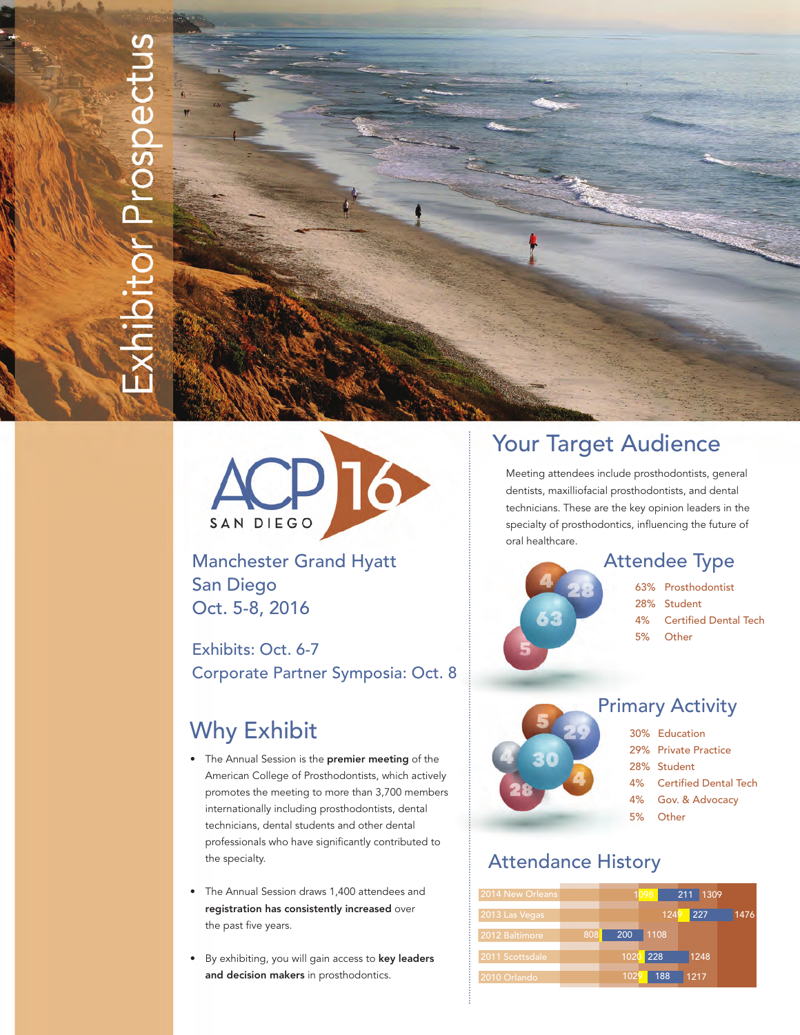# bitor Prospectus



Manchester Grand Hyatt San Diego Oct. 5-8, 2016

Exhibits: Oct. 6-7 Corporate Partner Symposia: Oct. 8

# Why Exhibit

- The Annual Session is the premier meeting of the American College of Prosthodontists, which actively promotes the meeting to more than 3,700 members internationally including prosthodontists, dental technicians, dental students and other dental professionals who have significantly contributed to the specialty.
- The Annual Session draws 1,400 attendees and registration has consistently increased over the past five years.
- By exhibiting, you will gain access to key leaders and decision makers in prosthodontics.

# Your Target Audience

 Meeting attendees include prosthodontists, general dentists, maxilliofacial prosthodontists, and dental technicians. These are the key opinion leaders in the specialty of prosthodontics, influencing the future of oral healthcare.

# Attendee Type



- 4% Certified Dental Tech
- 5% Other

# Primary Activity

- 30% Education
	- 29% Private Practice
	- 28% Student
	- 4% Certified Dental Tech
	- 4% Gov. & Advocacy
	- 5% Other

# Attendance History

| 2014 New Orleans |     |      | 1098 | 211 1309 |      |
|------------------|-----|------|------|----------|------|
| 2013 Las Vegas   |     |      | 1249 | 227      | 1476 |
| 2012 Baltimore   | 808 | 200  | 1108 |          |      |
| 2011 Scottsdale  |     | 1020 | 228  | 1248     |      |
| 2010 Orlando     |     | 1029 | 188  | 1217     |      |